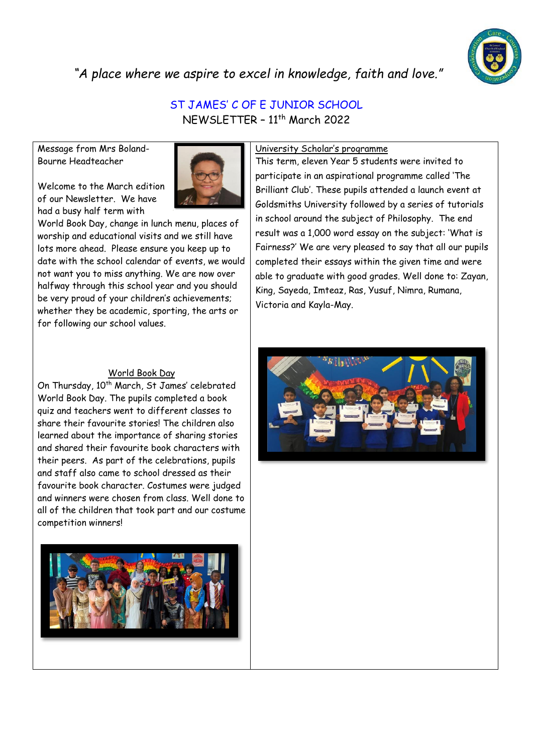

*"A place where we aspire to excel in knowledge, faith and love."*

## ST JAMES' C OF E JUNIOR SCHOOL NEWSLETTER – 11th March 2022

Message from Mrs Boland-Bourne Headteacher

Welcome to the March edition of our Newsletter. We have had a busy half term with



World Book Day, change in lunch menu, places of worship and educational visits and we still have lots more ahead. Please ensure you keep up to date with the school calendar of events, we would not want you to miss anything. We are now over halfway through this school year and you should be very proud of your children's achievements; whether they be academic, sporting, the arts or for following our school values.

## World Book Day

On Thursday, 10<sup>th</sup> March, St James' celebrated World Book Day. The pupils completed a book quiz and teachers went to different classes to share their favourite stories! The children also learned about the importance of sharing stories and shared their favourite book characters with their peers. As part of the celebrations, pupils and staff also came to school dressed as their favourite book character. Costumes were judged and winners were chosen from class. Well done to all of the children that took part and our costume competition winners!



## University Scholar's programme

This term, eleven Year 5 students were invited to participate in an aspirational programme called 'The Brilliant Club'. These pupils attended a launch event at Goldsmiths University followed by a series of tutorials in school around the subject of Philosophy. The end result was a 1,000 word essay on the subject: 'What is Fairness?' We are very pleased to say that all our pupils completed their essays within the given time and were able to graduate with good grades. Well done to: Zayan, King, Sayeda, Imteaz, Ras, Yusuf, Nimra, Rumana, Victoria and Kayla-May.

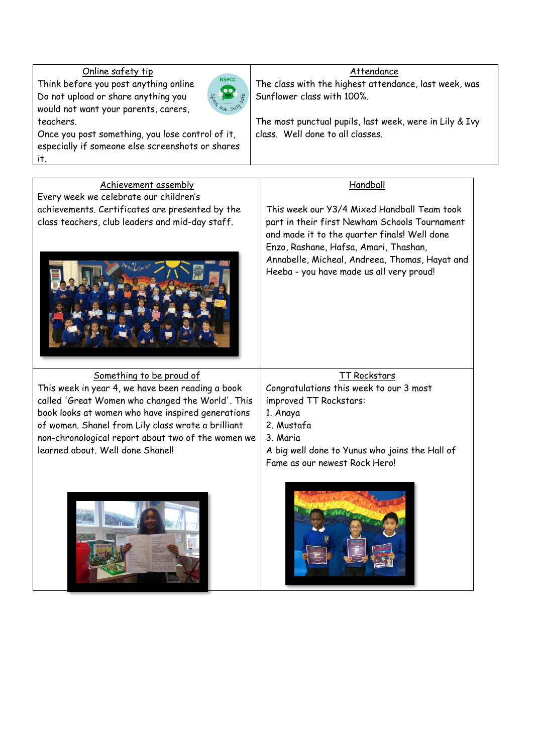## Online safety tip

Think before you post anything online Do not upload or share anything you would not want your parents, carers, teachers.



Once you post something, you lose control of it, especially if someone else screenshots or shares it.

## Attendance

The class with the highest attendance, last week, was Sunflower class with 100%.

The most punctual pupils, last week, were in Lily & Ivy class. Well done to all classes.

# Achievement assembly

Every week we celebrate our children's achievements. Certificates are presented by the class teachers, club leaders and mid-day staff.



## Something to be proud of

This week in year 4, we have been reading a book called 'Great Women who changed the World'. This book looks at women who have inspired generations of women. Shanel from Lily class wrote a brilliant non-chronological report about two of the women we learned about. Well done Shanel!

## Handball

This week our Y3/4 Mixed Handball Team took part in their first Newham Schools Tournament and made it to the quarter finals! Well done Enzo, Rashane, Hafsa, Amari, Thashan, Annabelle, Micheal, Andreea, Thomas, Hayat and Heeba - you have made us all very proud!

### TT Rockstars

Congratulations this week to our 3 most improved TT Rockstars:

- 1. Anaya
- 2. Mustafa
- 3. Maria

A big well done to Yunus who joins the Hall of Fame as our newest Rock Hero!